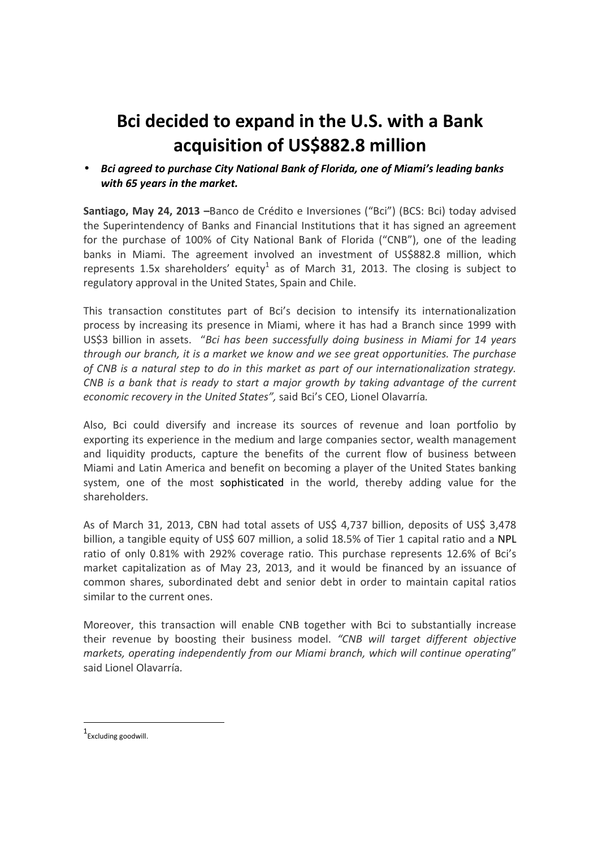# **Bci decided to expand in the U.S. with a Bank acquisition of US\$882.8 million**

• *Bci agreed to purchase City National Bank of Florida, one of Miami's leading banks with 65 years in the market.* 

**Santiago, May 24, 2013 –**Banco de Crédito e Inversiones ("Bci") (BCS: Bci) today advised the Superintendency of Banks and Financial Institutions that it has signed an agreement for the purchase of 100% of City National Bank of Florida ("CNB"), one of the leading banks in Miami. The agreement involved an investment of US\$882.8 million, which represents 1.5x shareholders' equity<sup>1</sup> as of March 31, 2013. The closing is subject to regulatory approval in the United States, Spain and Chile.

This transaction constitutes part of Bci's decision to intensify its internationalization process by increasing its presence in Miami, where it has had a Branch since 1999 with US\$3 billion in assets. "*Bci has been successfully doing business in Miami for 14 years through our branch, it is a market we know and we see great opportunities. The purchase of CNB is a natural step to do in this market as part of our internationalization strategy. CNB is a bank that is ready to start a major growth by taking advantage of the current economic recovery in the United States",* said Bci's CEO, Lionel Olavarría*.* 

Also, Bci could diversify and increase its sources of revenue and loan portfolio by exporting its experience in the medium and large companies sector, wealth management and liquidity products, capture the benefits of the current flow of business between Miami and Latin America and benefit on becoming a player of the United States banking system, one of the most sophisticated in the world, thereby adding value for the shareholders.

As of March 31, 2013, CBN had total assets of US\$ 4,737 billion, deposits of US\$ 3,478 billion, a tangible equity of US\$ 607 million, a solid 18.5% of Tier 1 capital ratio and a NPL ratio of only 0.81% with 292% coverage ratio. This purchase represents 12.6% of Bci's market capitalization as of May 23, 2013, and it would be financed by an issuance of common shares, subordinated debt and senior debt in order to maintain capital ratios similar to the current ones.

Moreover, this transaction will enable CNB together with Bci to substantially increase their revenue by boosting their business model. *"CNB will target different objective markets, operating independently from our Miami branch, which will continue operating*" said Lionel Olavarría*.*

<u>.</u>

<sup>1</sup> Excluding goodwill.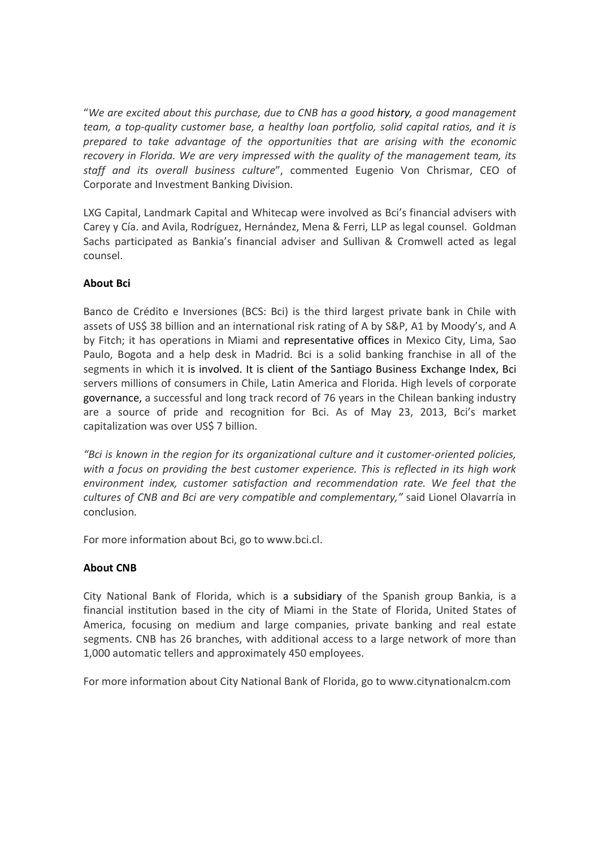"*We are excited about this purchase, due to CNB has a good history, a good management team, a top-quality customer base, a healthy loan portfolio, solid capital ratios, and it is prepared to take advantage of the opportunities that are arising with the economic recovery in Florida. We are very impressed with the quality of the management team, its staff and its overall business culture*", commented Eugenio Von Chrismar, CEO of Corporate and Investment Banking Division.

LXG Capital, Landmark Capital and Whitecap were involved as Bci's financial advisers with Carey y Cía. and Avila, Rodríguez, Hernández, Mena & Ferri, LLP as legal counsel. Goldman Sachs participated as Bankia's financial adviser and Sullivan & Cromwell acted as legal counsel.

## **About Bci**

Banco de Crédito e Inversiones (BCS: Bci) is the third largest private bank in Chile with assets of US\$ 38 billion and an international risk rating of A by S&P, A1 by Moody's, and A by Fitch; it has operations in Miami and representative offices in Mexico City, Lima, Sao Paulo, Bogota and a help desk in Madrid. Bci is a solid banking franchise in all of the segments in which it is involved. It is client of the Santiago Business Exchange Index, Bci servers millions of consumers in Chile, Latin America and Florida. High levels of corporate governance, a successful and long track record of 76 years in the Chilean banking industry are a source of pride and recognition for Bci. As of May 23, 2013, Bci's market capitalization was over US\$ 7 billion.

*"Bci is known in the region for its organizational culture and it customer-oriented policies, with a focus on providing the best customer experience. This is reflected in its high work environment index, customer satisfaction and recommendation rate. We feel that the cultures of CNB and Bci are very compatible and complementary,"* said Lionel Olavarría in conclusion*.* 

For more information about Bci, go to www.bci.cl.

### **About CNB**

City National Bank of Florida, which is a subsidiary of the Spanish group Bankia, is a financial institution based in the city of Miami in the State of Florida, United States of America, focusing on medium and large companies, private banking and real estate segments. CNB has 26 branches, with additional access to a large network of more than 1,000 automatic tellers and approximately 450 employees.

For more information about City National Bank of Florida, go to www.citynationalcm.com